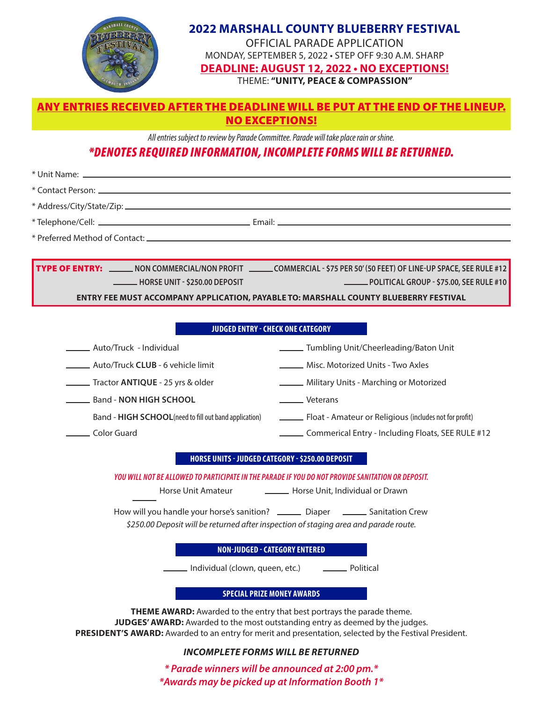

## **2022 MARSHALL COUNTY BLUEBERRY FESTIVAL**

OFFICIAL PARADE APPLICATION MONDAY, SEPTEMBER 5, 2022 • STEP OFF 9:30 A.M. SHARP

**DEADLINE: AUGUST 12, 2022 • NO EXCEPTIONS!**

THEME: **"UNITY, PEACE & COMPASSION"**

### ANY ENTRIES RECEIVED AFTER THE DEADLINE WILL BE PUT AT THE END OF THE LINEUP. NO EXCEPTIONS!

*All entries subject to review by Parade Committee. Parade will take place rain or shine.*

# *\*DENOTES REQUIRED INFORMATION, INCOMPLETE FORMS WILL BE RETURNED.*

\* Unit Name:

\* Contact Person:

\* Address/City/State/Zip:

\* Telephone/Cell:

\* Preferred Method of Contact:

TYPE OF ENTRY: **NON COMMERCIAL/NON PROFIT COMMERCIAL - \$75 PER 50' (50 FEET) OF LINE-UP SPACE, SEE RULE #12 HORSE UNIT - \$250.00 DEPOSIT POLITICAL GROUP - \$75.00, SEE RULE #10** 

**ENTRY FEE MUST ACCOMPANY APPLICATION, PAYABLE TO: MARSHALL COUNTY BLUEBERRY FESTIVAL**

Email:

#### **JUDGED ENTRY - CHECK ONE CATEGORY**

**Misc. Motorized Units - Two Axles** Auto/Truck - Individual Military Units - Marching or Motorized Auto/Truck **CLUB** - 6 vehicle limit Lackenwalk Veterans Tractor **ANTIQUE** - 25 yrs & older Band - **NON HIGH SCHOOL** Float - Amateur or Religious (includes not for profit) Color Guard Commerical Entry - Including Floats, SEE RULE #12 **Tumbling Unit/Cheerleading/Baton Unit** Band - **HIGH SCHOOL**(need to fill out band application)

#### **HORSE UNITS - JUDGED CATEGORY - \$250.00 DEPOSIT**

*YOU WILL NOT BE ALLOWED TO PARTICIPATE IN THE PARADE IF YOU DO NOT PROVIDE SANITATION OR DEPOSIT.*

Horse Unit Amateur **Horse Unit, Individual or Drawn** 

How will you handle your horse's sanition? \_\_\_\_\_\_\_\_\_ Diaper \_\_\_\_\_\_\_\_ Sanitation Crew *\$250.00 Deposit will be returned after inspection of staging area and parade route.*

#### **NON-JUDGED - CATEGORY ENTERED**

Individual (clown, queen, etc.) [100] \_\_\_\_\_\_\_\_\_\_ Political

#### **SPECIAL PRIZE MONEY AWARDS**

**THEME AWARD:** Awarded to the entry that best portrays the parade theme. **JUDGES' AWARD:** Awarded to the most outstanding entry as deemed by the judges. **PRESIDENT'S AWARD:** Awarded to an entry for merit and presentation, selected by the Festival President.

#### *INCOMPLETE FORMS WILL BE RETURNED*

*\* Parade winners will be announced at 2:00 pm.\* \*Awards may be picked up at Information Booth 1\**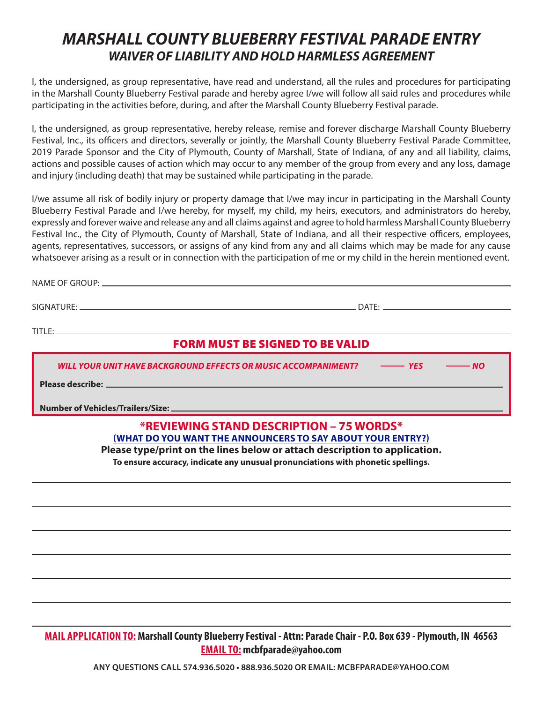# *MARSHALL COUNTY BLUEBERRY FESTIVAL PARADE ENTRY WAIVER OF LIABILITY AND HOLD HARMLESS AGREEMENT*

I, the undersigned, as group representative, have read and understand, all the rules and procedures for participating in the Marshall County Blueberry Festival parade and hereby agree I/we will follow all said rules and procedures while participating in the activities before, during, and after the Marshall County Blueberry Festival parade.

I, the undersigned, as group representative, hereby release, remise and forever discharge Marshall County Blueberry Festival, Inc., its officers and directors, severally or jointly, the Marshall County Blueberry Festival Parade Committee, 2019 Parade Sponsor and the City of Plymouth, County of Marshall, State of Indiana, of any and all liability, claims, actions and possible causes of action which may occur to any member of the group from every and any loss, damage and injury (including death) that may be sustained while participating in the parade.

I/we assume all risk of bodily injury or property damage that I/we may incur in participating in the Marshall County Blueberry Festival Parade and I/we hereby, for myself, my child, my heirs, executors, and administrators do hereby, expressly and forever waive and release any and all claims against and agree to hold harmless Marshall County Blueberry Festival Inc., the City of Plymouth, County of Marshall, State of Indiana, and all their respective officers, employees, agents, representatives, successors, or assigns of any kind from any and all claims which may be made for any cause whatsoever arising as a result or in connection with the participation of me or my child in the herein mentioned event.

| <b>FORM MUST BE SIGNED TO BE VALID</b>              |                                                                                               |
|-----------------------------------------------------|-----------------------------------------------------------------------------------------------|
|                                                     | WILL YOUR UNIT HAVE BACKGROUND EFFECTS OR MUSIC ACCOMPANIMENT? - ---------- YES ---------- NO |
|                                                     |                                                                                               |
|                                                     |                                                                                               |
| <b><i>XDEVIEWING CTAND DECCRIDEIAN SEWARDEX</i></b> |                                                                                               |

#### **\*REVIEWING STAND DESCRIPTION – 75 WORDS\* (WHAT DO YOU WANT THE ANNOUNCERS TO SAY ABOUT YOUR ENTRY?)**

**Please type/print on the lines below or attach description to application.**

**To ensure accuracy, indicate any unusual pronunciations with phonetic spellings.**

## **MAIL APPLICATION TO: Marshall County Blueberry Festival - Attn: Parade Chair - P.O. Box 639 - Plymouth, IN 46563 EMAIL TO: mcbfparade@yahoo.com**

**ANY QUESTIONS CALL 574.936.5020 • 888.936.5020 OR EMAIL: MCBFPARADE@YAHOO.COM**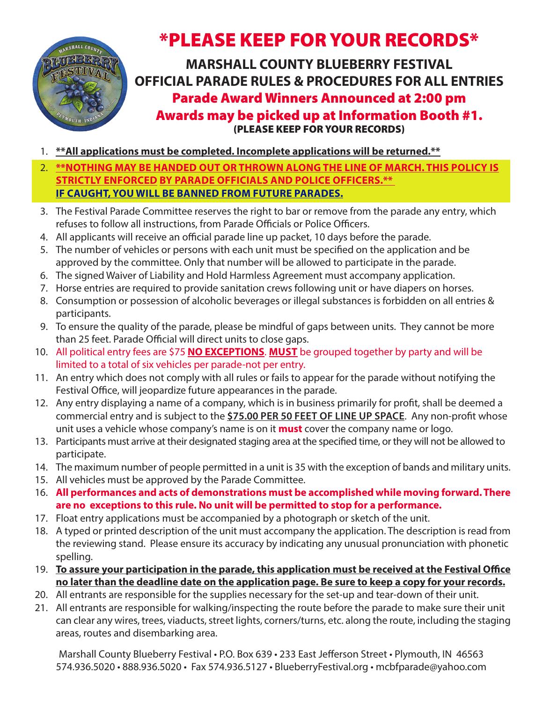

# \*PLEASE KEEP FOR YOUR RECORDS\*

**MARSHALL COUNTY BLUEBERRY FESTIVAL OFFICIAL PARADE RULES & PROCEDURES FOR ALL ENTRIES** Parade Award Winners Announced at 2:00 pm Awards may be picked up at Information Booth #1. (PLEASE KEEP FOR YOUR RECORDS)

- 1. **\*\*All applications must be completed. Incomplete applications will be returned.\*\***
- 2. **\*\*NOTHING MAY BE HANDED OUT OR THROWN ALONG THE LINE OF MARCH. THIS POLICY IS STRICTLY ENFORCED BY PARADE OFFICIALS AND POLICE OFFICERS.\*\* IF CAUGHT, YOU WILL BE BANNED FROM FUTURE PARADES.**
- 3. The Festival Parade Committee reserves the right to bar or remove from the parade any entry, which refuses to follow all instructions, from Parade Officials or Police Officers.
- 4. All applicants will receive an official parade line up packet, 10 days before the parade.
- 5. The number of vehicles or persons with each unit must be specified on the application and be approved by the committee. Only that number will be allowed to participate in the parade.
- 6. The signed Waiver of Liability and Hold Harmless Agreement must accompany application.
- 7. Horse entries are required to provide sanitation crews following unit or have diapers on horses.
- 8. Consumption or possession of alcoholic beverages or illegal substances is forbidden on all entries & participants.
- 9. To ensure the quality of the parade, please be mindful of gaps between units. They cannot be more than 25 feet. Parade Official will direct units to close gaps.
- 10. All political entry fees are \$75 **NO EXCEPTIONS**. **MUST** be grouped together by party and will be limited to a total of six vehicles per parade-not per entry.
- 11. An entry which does not comply with all rules or fails to appear for the parade without notifying the Festival Office, will jeopardize future appearances in the parade.
- 12. Any entry displaying a name of a company, which is in business primarily for profit, shall be deemed a commercial entry and is subject to the **\$75.00 PER 50 FEET OF LINE UP SPACE**. Any non-profit whose unit uses a vehicle whose company's name is on it **must** cover the company name or logo.
- 13. Participants must arrive at their designated staging area at the specified time, or they will not be allowed to participate.
- 14. The maximum number of people permitted in a unit is 35 with the exception of bands and military units.
- 15. All vehicles must be approved by the Parade Committee.
- 16. **All performances and acts of demonstrations must be accomplished while moving forward. There are no exceptions to this rule. No unit will be permitted to stop for a performance.**
- 17. Float entry applications must be accompanied by a photograph or sketch of the unit.
- 18. A typed or printed description of the unit must accompany the application. The description is read from the reviewing stand. Please ensure its accuracy by indicating any unusual pronunciation with phonetic spelling.
- 19. **To assure your participation in the parade, this application must be received at the Festival Office no later than the deadline date on the application page. Be sure to keep a copy for your records.**
- 20. All entrants are responsible for the supplies necessary for the set-up and tear-down of their unit.
- 21. All entrants are responsible for walking/inspecting the route before the parade to make sure their unit can clear any wires, trees, viaducts, street lights, corners/turns, etc. along the route, including the staging areas, routes and disembarking area.

Marshall County Blueberry Festival • P.O. Box 639 • 233 East Jefferson Street • Plymouth, IN 46563 574.936.5020 • 888.936.5020 • Fax 574.936.5127 • BlueberryFestival.org • mcbfparade@yahoo.com